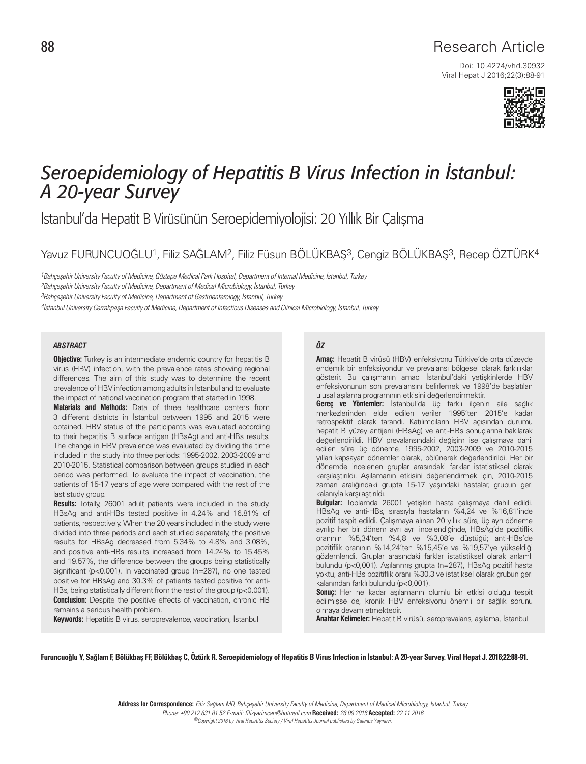Viral Hepat J 2016;22(3):88-91 Doi: 10.4274/vhd.30932



# *Seroepidemiology of Hepatitis B Virus Infection in İstanbul: A 20-year Survey*

İstanbul'da Hepatit B Virüsünün Seroepidemiyolojisi: 20 Yıllık Bir Çalışma

Yavuz FURUNCUOĞLU1, Filiz SAĞLAM2, Filiz Füsun BÖLÜKBAŞ3, Cengiz BÖLÜKBAŞ3, Recep ÖZTÜRK4

1Bahçeşehir University Faculty of Medicine, Göztepe Medical Park Hospital, Department of Internal Medicine, İstanbul, Turkey 2Bahçeşehir University Faculty of Medicine, Department of Medical Microbiology, İstanbul, Turkey 3Bahçeşehir University Faculty of Medicine, Department of Gastroenterology, İstanbul, Turkey 4İstanbul University Cerrahpaşa Faculty of Medicine, Department of Infectious Diseases and Clinical Microbiology, İstanbul, Turkey

#### *ABSTRACT ÖZ*

**Objective:** Turkey is an intermediate endemic country for hepatitis B virus (HBV) infection, with the prevalence rates showing regional differences. The aim of this study was to determine the recent prevalence of HBV infection among adults in İstanbul and to evaluate the impact of national vaccination program that started in 1998.

**Materials and Methods:** Data of three healthcare centers from 3 different districts in İstanbul between 1995 and 2015 were obtained. HBV status of the participants was evaluated according to their hepatitis B surface antigen (HBsAg) and anti-HBs results. The change in HBV prevalence was evaluated by dividing the time included in the study into three periods: 1995-2002, 2003-2009 and 2010-2015. Statistical comparison between groups studied in each period was performed. To evaluate the impact of vaccination, the patients of 15-17 years of age were compared with the rest of the last study group.

**Results:** Totally, 26001 adult patients were included in the study. HBsAg and anti-HBs tested positive in 4.24% and 16.81% of patients, respectively. When the 20 years included in the study were divided into three periods and each studied separately, the positive results for HBsAg decreased from 5.34% to 4.8% and 3.08%, and positive anti-HBs results increased from 14.24% to 15.45% and 19.57%, the difference between the groups being statistically significant (p<0.001). In vaccinated group (n=287), no one tested positive for HBsAg and 30.3% of patients tested positive for anti-HBs, being statistically different from the rest of the group (p<0.001). **Conclusion:** Despite the positive effects of vaccination, chronic HB remains a serious health problem.

**Keywords:** Hepatitis B virus, seroprevalence, vaccination, İstanbul

**Amaç:** Hepatit B virüsü (HBV) enfeksiyonu Türkiye'de orta düzeyde endemik bir enfeksiyondur ve prevalansı bölgesel olarak farklılıklar gösterir. Bu çalışmanın amacı İstanbul'daki yetişkinlerde HBV enfeksiyonunun son prevalansını belirlemek ve 1998'de başlatılan ulusal aşılama programının etkisini değerlendirmektir.

**Gereç ve Yöntemler:** İstanbul'da üç farklı ilçenin aile sağlık merkezlerinden elde edilen veriler 1995'ten 2015'e kadar retrospektif olarak tarandı. Katılımcıların HBV açısından durumu hepatit B yüzey antijeni (HBsAg) ve anti-HBs sonuçlarına bakılarak değerlendirildi. HBV prevalansındaki değişim ise çalışmaya dahil edilen süre üç döneme, 1995-2002, 2003-2009 ve 2010-2015 yılları kapsayan dönemler olarak, bölünerek değerlendirildi. Her bir dönemde incelenen gruplar arasındaki farklar istatistiksel olarak karşılaştırıldı. Aşılamanın etkisini değerlendirmek için, 2010-2015 zaman aralığındaki grupta 15-17 yaşındaki hastalar, grubun geri kalanıyla karşılaştırıldı.

**Bulgular:** Toplamda 26001 yetişkin hasta çalışmaya dahil edildi. HBsAg ve anti-HBs, sırasıyla hastaların %4,24 ve %16,81'inde pozitif tespit edildi. Çalışmaya alınan 20 yıllık süre, üç ayrı döneme ayrılıp her bir dönem ayrı ayrı incelendiğinde, HBsAg'de pozitiflik oranının %5,34'ten %4,8 ve %3,08'e düştüğü; anti-HBs'de pozitiflik oranının %14,24'ten %15,45'e ve %19,57'ye yükseldiği gözlemlendi. Gruplar arasındaki farklar istatistiksel olarak anlamlı bulundu (p<0,001). Aşılanmış grupta (n=287), HBsAg pozitif hasta yoktu, anti-HBs pozitiflik oranı %30,3 ve istatiksel olarak grubun geri kalanından farklı bulundu (p<0,001).

**Sonuç:** Her ne kadar aşılamanın olumlu bir etkisi olduğu tespit edilmişse de, kronik HBV enfeksiyonu önemli bir sağlık sorunu olmaya devam etmektedir.

**Anahtar Kelimeler:** Hepatit B virüsü, seroprevalans, aşılama, İstanbul

Furuncuoğlu Y, Sağlam F, Bölükbaş FF, Bölükbaş C, Öztürk R. Seroepidemiology of Hepatitis B Virus Infection in İstanbul: A 20-year Survey. Viral Hepat J. 2016;22:88-91.

**Address for Correspondence:** Filiz Sağlam MD, Bahçeşehir University Faculty of Medicine, Department of Medical Microbiology, İstanbul, Turkey Phone: +90 212 631 81 52 E-mail: filizyarimcan@hotmail.com **Received:** 26.09.2016 **Accepted:** 22.11.2016 ©Copyright 2016 by Viral Hepatitis Society / Viral Hepatitis Journal published by Galenos Yayınevi.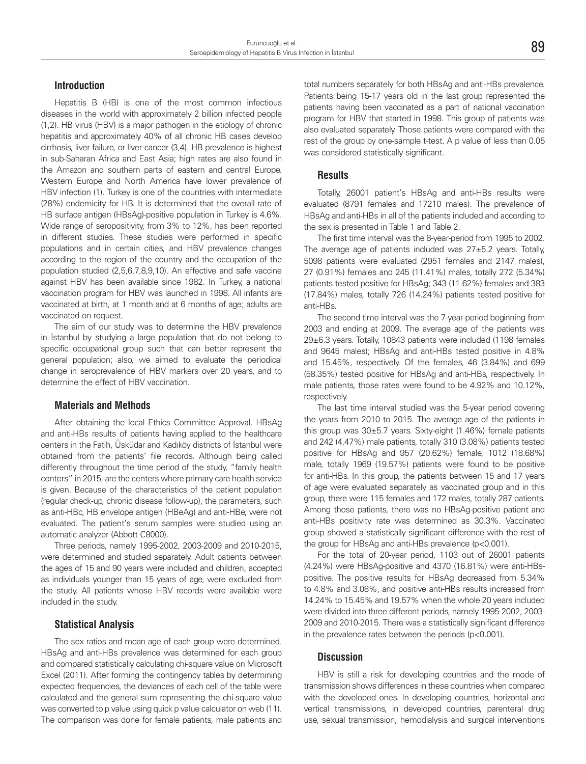# **Introduction**

Hepatitis B (HB) is one of the most common infectious diseases in the world with approximately 2 billion infected people (1,2). HB virus (HBV) is a major pathogen in the etiology of chronic hepatitis and approximately 40% of all chronic HB cases develop cirrhosis, liver failure, or liver cancer (3,4). HB prevalence is highest in sub-Saharan Africa and East Asia; high rates are also found in the Amazon and southern parts of eastern and central Europe. Western Europe and North America have lower prevalence of HBV infection (1). Turkey is one of the countries with intermediate (28%) endemicity for HB. It is determined that the overall rate of HB surface antigen (HBsAg)-positive population in Turkey is 4.6%. Wide range of seropositivity, from 3% to 12%, has been reported in different studies. These studies were performed in specific populations and in certain cities, and HBV prevalence changes according to the region of the country and the occupation of the population studied (2,5,6,7,8,9,10). An effective and safe vaccine against HBV has been available since 1982. In Turkey, a national vaccination program for HBV was launched in 1998. All infants are vaccinated at birth, at 1 month and at 6 months of age; adults are vaccinated on request.

The aim of our study was to determine the HBV prevalence in İstanbul by studying a large population that do not belong to specific occupational group such that can better represent the general population; also, we aimed to evaluate the periodical change in seroprevalence of HBV markers over 20 years, and to determine the effect of HBV vaccination.

# **Materials and Methods**

After obtaining the local Ethics Committee Approval, HBsAg and anti-HBs results of patients having applied to the healthcare centers in the Fatih, Üsküdar and Kadıköy districts of İstanbul were obtained from the patients' file records. Although being called differently throughout the time period of the study, "family health centers" in 2015, are the centers where primary care health service is given. Because of the characteristics of the patient population (regular check-up, chronic disease follow-up), the parameters, such as anti-HBc, HB envelope antigen (HBeAg) and anti-HBe, were not evaluated. The patient's serum samples were studied using an automatic analyzer (Abbott C8000).

Three periods, namely 1995-2002, 2003-2009 and 2010-2015, were determined and studied separately. Adult patients between the ages of 15 and 90 years were included and children, accepted as individuals younger than 15 years of age, were excluded from the study. All patients whose HBV records were available were included in the study.

## **Statistical Analysis**

The sex ratios and mean age of each group were determined. HBsAg and anti-HBs prevalence was determined for each group and compared statistically calculating chi-square value on Microsoft Excel (2011). After forming the contingency tables by determining expected frequencies, the deviances of each cell of the table were calculated and the general sum representing the chi-square value was converted to p value using quick p value calculator on web (11). The comparison was done for female patients, male patients and total numbers separately for both HBsAg and anti-HBs prevalence. Patients being 15-17 years old in the last group represented the patients having been vaccinated as a part of national vaccination program for HBV that started in 1998. This group of patients was also evaluated separately. Those patients were compared with the rest of the group by one-sample t-test. A p value of less than 0.05 was considered statistically significant.

## **Results**

Totally, 26001 patient's HBsAg and anti-HBs results were evaluated (8791 females and 17210 males). The prevalence of HBsAg and anti-HBs in all of the patients included and according to the sex is presented in Table 1 and Table 2.

The first time interval was the 8-year-period from 1995 to 2002. The average age of patients included was 27±5.2 years. Totally, 5098 patients were evaluated (2951 females and 2147 males), 27 (0.91%) females and 245 (11.41%) males, totally 272 (5.34%) patients tested positive for HBsAg; 343 (11.62%) females and 383 (17.84%) males, totally 726 (14.24%) patients tested positive for anti-HBs.

The second time interval was the 7-year-period beginning from 2003 and ending at 2009. The average age of the patients was 29±6.3 years. Totally, 10843 patients were included (1198 females and 9645 males); HBsAg and anti-HBs tested positive in 4.8% and 15.45%, respectively. Of the females, 46 (3.84%) and 699 (58.35%) tested positive for HBsAg and anti-HBs, respectively. In male patients, those rates were found to be 4.92% and 10.12%, respectively.

The last time interval studied was the 5-year period covering the years from 2010 to 2015. The average age of the patients in this group was  $30\pm5.7$  years. Sixty-eight (1.46%) female patients and 242 (4.47%) male patients, totally 310 (3.08%) patients tested positive for HBsAg and 957 (20.62%) female, 1012 (18.68%) male, totally 1969 (19.57%) patients were found to be positive for anti-HBs. In this group, the patients between 15 and 17 years of age were evaluated separately as vaccinated group and in this group, there were 115 females and 172 males, totally 287 patients. Among those patients, there was no HBsAg-positive patient and anti-HBs positivity rate was determined as 30.3%. Vaccinated group showed a statistically significant difference with the rest of the group for HBsAg and anti-HBs prevalence (p<0.001).

For the total of 20-year period, 1103 out of 26001 patients (4.24%) were HBsAg-positive and 4370 (16.81%) were anti-HBspositive. The positive results for HBsAg decreased from 5.34% to 4.8% and 3.08%, and positive anti-HBs results increased from 14.24% to 15.45% and 19.57% when the whole 20 years included were divided into three different periods, namely 1995-2002, 2003- 2009 and 2010-2015. There was a statistically significant difference in the prevalence rates between the periods (p<0.001).

#### **Discussion**

HBV is still a risk for developing countries and the mode of transmission shows differences in these countries when compared with the developed ones. In developing countries, horizontal and vertical transmissions, in developed countries, parenteral drug use, sexual transmission, hemodialysis and surgical interventions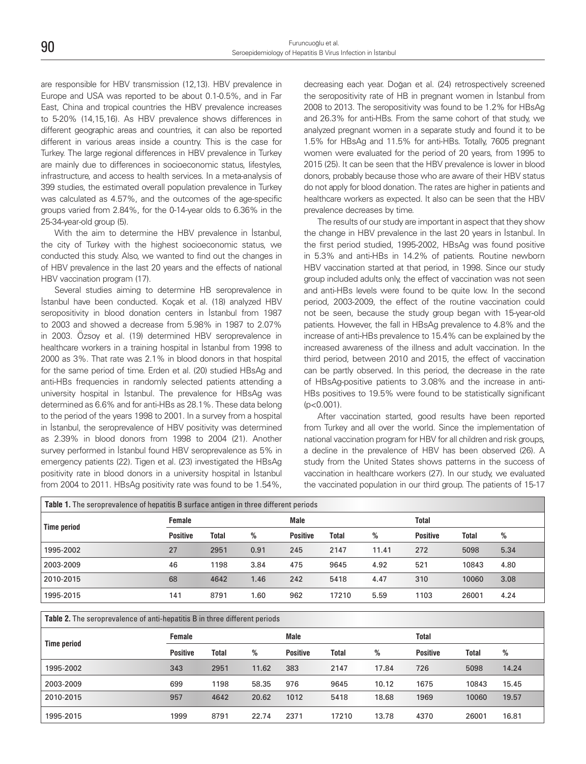are responsible for HBV transmission (12,13). HBV prevalence in Europe and USA was reported to be about 0.1-0.5%, and in Far East, China and tropical countries the HBV prevalence increases to 5-20% (14,15,16). As HBV prevalence shows differences in different geographic areas and countries, it can also be reported different in various areas inside a country. This is the case for Turkey. The large regional differences in HBV prevalence in Turkey are mainly due to differences in socioeconomic status, lifestyles, infrastructure, and access to health services. In a meta-analysis of 399 studies, the estimated overall population prevalence in Turkey was calculated as 4.57%, and the outcomes of the age-specific groups varied from 2.84%, for the 0-14-year olds to 6.36% in the 25-34-year-old group (5).

With the aim to determine the HBV prevalence in İstanbul, the city of Turkey with the highest socioeconomic status, we conducted this study. Also, we wanted to find out the changes in of HBV prevalence in the last 20 years and the effects of national HBV vaccination program (17).

Several studies aiming to determine HB seroprevalence in İstanbul have been conducted. Koçak et al. (18) analyzed HBV seropositivity in blood donation centers in İstanbul from 1987 to 2003 and showed a decrease from 5.98% in 1987 to 2.07% in 2003. Özsoy et al. (19) determined HBV seroprevalence in healthcare workers in a training hospital in İstanbul from 1998 to 2000 as 3%. That rate was 2.1% in blood donors in that hospital for the same period of time. Erden et al. (20) studied HBsAg and anti-HBs frequencies in randomly selected patients attending a university hospital in İstanbul. The prevalence for HBsAg was determined as 6.6% and for anti-HBs as 28.1%. These data belong to the period of the years 1998 to 2001. In a survey from a hospital in İstanbul, the seroprevalence of HBV positivity was determined as 2.39% in blood donors from 1998 to 2004 (21). Another survey performed in İstanbul found HBV seroprevalence as 5% in emergency patients (22). Tigen et al. (23) investigated the HBsAg positivity rate in blood donors in a university hospital in İstanbul from 2004 to 2011. HBsAg positivity rate was found to be 1.54%, decreasing each year. Doğan et al. (24) retrospectively screened the seropositivity rate of HB in pregnant women in İstanbul from 2008 to 2013. The seropositivity was found to be 1.2% for HBsAg and 26.3% for anti-HBs. From the same cohort of that study, we analyzed pregnant women in a separate study and found it to be 1.5% for HBsAg and 11.5% for anti-HBs. Totally, 7605 pregnant women were evaluated for the period of 20 years, from 1995 to 2015 (25). It can be seen that the HBV prevalence is lower in blood donors, probably because those who are aware of their HBV status do not apply for blood donation. The rates are higher in patients and healthcare workers as expected. It also can be seen that the HBV prevalence decreases by time.

The results of our study are important in aspect that they show the change in HBV prevalence in the last 20 years in İstanbul. In the first period studied, 1995-2002, HBsAg was found positive in 5.3% and anti-HBs in 14.2% of patients. Routine newborn HBV vaccination started at that period, in 1998. Since our study group included adults only, the effect of vaccination was not seen and anti-HBs levels were found to be quite low. In the second period, 2003-2009, the effect of the routine vaccination could not be seen, because the study group began with 15-year-old patients. However, the fall in HBsAg prevalence to 4.8% and the increase of anti-HBs prevalence to 15.4% can be explained by the increased awareness of the illness and adult vaccination. In the third period, between 2010 and 2015, the effect of vaccination can be partly observed. In this period, the decrease in the rate of HBsAg-positive patients to 3.08% and the increase in anti-HBs positives to 19.5% were found to be statistically significant (p<0.001).

After vaccination started, good results have been reported from Turkey and all over the world. Since the implementation of national vaccination program for HBV for all children and risk groups, a decline in the prevalence of HBV has been observed (26). A study from the United States shows patterns in the success of vaccination in healthcare workers (27). In our study, we evaluated the vaccinated population in our third group. The patients of 15-17

| <b>Table 1.</b> The seroprevalence of hepatitis B surface antigen in three different periods |                 |       |      |                 |              |       |                 |       |      |  |
|----------------------------------------------------------------------------------------------|-----------------|-------|------|-----------------|--------------|-------|-----------------|-------|------|--|
| <b>Time period</b>                                                                           | <b>Female</b>   |       |      | <b>Male</b>     |              |       | Total           |       |      |  |
|                                                                                              | <b>Positive</b> | Total | %    | <b>Positive</b> | <b>Total</b> | %     | <b>Positive</b> | Total | %    |  |
| 1995-2002                                                                                    | 27              | 2951  | 0.91 | 245             | 2147         | 11.41 | 272             | 5098  | 5.34 |  |
| 2003-2009                                                                                    | 46              | 1198  | 3.84 | 475             | 9645         | 4.92  | 521             | 10843 | 4.80 |  |
| 2010-2015                                                                                    | 68              | 4642  | 1.46 | 242             | 5418         | 4.47  | 310             | 10060 | 3.08 |  |
| 1995-2015                                                                                    | 141             | 8791  | 1.60 | 962             | 17210        | 5.59  | 1103            | 26001 | 4.24 |  |

**Table 2.** The seroprevalence of anti-hepatitis B in three different periods

| <b>Time period</b> | <b>Female</b> |       |       | <b>Male</b>     |       |       | Total           |       |       |
|--------------------|---------------|-------|-------|-----------------|-------|-------|-----------------|-------|-------|
|                    | Positive      | Total | %     | <b>Positive</b> | Total | %     | <b>Positive</b> | Total | %     |
| 1995-2002          | 343           | 2951  | 11.62 | 383             | 2147  | 17.84 | 726             | 5098  | 14.24 |
| 2003-2009          | 699           | 1198  | 58.35 | 976             | 9645  | 10.12 | 1675            | 10843 | 15.45 |
| 2010-2015          | 957           | 4642  | 20.62 | 1012            | 5418  | 18.68 | 1969            | 10060 | 19.57 |
| 1995-2015          | 1999          | 8791  | 22.74 | 2371            | 17210 | 13.78 | 4370            | 26001 | 16.81 |